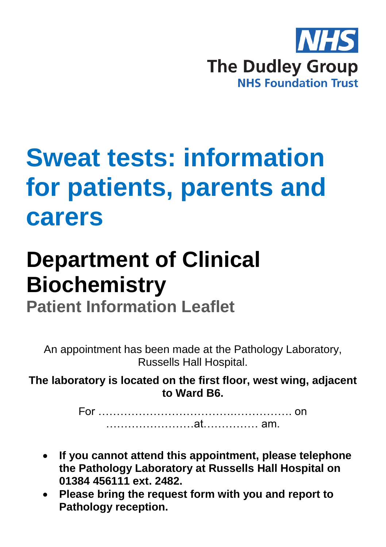

# **Sweat tests: information for patients, parents and carers**

# **Department of Clinical Biochemistry**

**Patient Information Leaflet**

An appointment has been made at the Pathology Laboratory, Russells Hall Hospital.

**The laboratory is located on the first floor, west wing, adjacent to Ward B6.**

> For ……………………………….……………. on ……………………at…………… am.

- **If you cannot attend this appointment, please telephone the Pathology Laboratory at Russells Hall Hospital on 01384 456111 ext. 2482.**
- **Please bring the request form with you and report to Pathology reception.**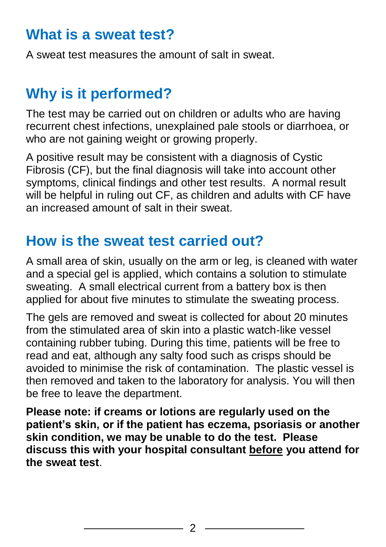#### **What is a sweat test?**

A sweat test measures the amount of salt in sweat.

# **Why is it performed?**

The test may be carried out on children or adults who are having recurrent chest infections, unexplained pale stools or diarrhoea, or who are not gaining weight or growing properly.

A positive result may be consistent with a diagnosis of Cystic Fibrosis (CF), but the final diagnosis will take into account other symptoms, clinical findings and other test results. A normal result will be helpful in ruling out CF, as children and adults with CF have an increased amount of salt in their sweat.

### **How is the sweat test carried out?**

A small area of skin, usually on the arm or leg, is cleaned with water and a special gel is applied, which contains a solution to stimulate sweating. A small electrical current from a battery box is then applied for about five minutes to stimulate the sweating process.

The gels are removed and sweat is collected for about 20 minutes from the stimulated area of skin into a plastic watch-like vessel containing rubber tubing. During this time, patients will be free to read and eat, although any salty food such as crisps should be avoided to minimise the risk of contamination. The plastic vessel is then removed and taken to the laboratory for analysis. You will then be free to leave the department.

**Please note: if creams or lotions are regularly used on the patient's skin, or if the patient has eczema, psoriasis or another skin condition, we may be unable to do the test. Please discuss this with your hospital consultant before you attend for the sweat test**.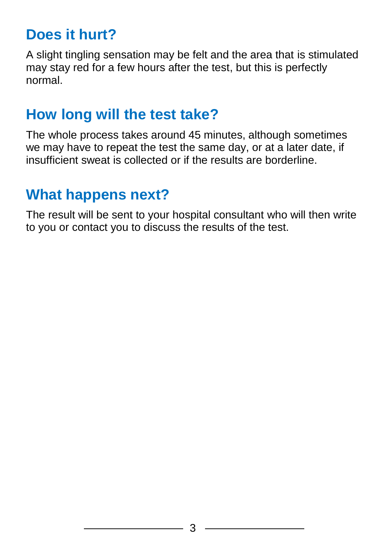# **Does it hurt?**

A slight tingling sensation may be felt and the area that is stimulated may stay red for a few hours after the test, but this is perfectly normal.

### **How long will the test take?**

The whole process takes around 45 minutes, although sometimes we may have to repeat the test the same day, or at a later date, if insufficient sweat is collected or if the results are borderline.

# **What happens next?**

The result will be sent to your hospital consultant who will then write to you or contact you to discuss the results of the test.